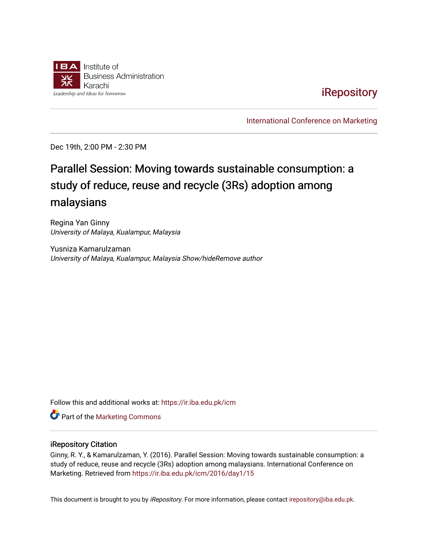

## **iRepository**

[International Conference on Marketing](https://ir.iba.edu.pk/icm) 

Dec 19th, 2:00 PM - 2:30 PM

# Parallel Session: Moving towards sustainable consumption: a study of reduce, reuse and recycle (3Rs) adoption among malaysians

Regina Yan Ginny University of Malaya, Kualampur, Malaysia

Yusniza Kamarulzaman University of Malaya, Kualampur, Malaysia Show/hideRemove author

Follow this and additional works at: [https://ir.iba.edu.pk/icm](https://ir.iba.edu.pk/icm?utm_source=ir.iba.edu.pk%2Ficm%2F2016%2Fday1%2F15&utm_medium=PDF&utm_campaign=PDFCoverPages) 

**Part of the [Marketing Commons](http://network.bepress.com/hgg/discipline/638?utm_source=ir.iba.edu.pk%2Ficm%2F2016%2Fday1%2F15&utm_medium=PDF&utm_campaign=PDFCoverPages)** 

#### iRepository Citation

Ginny, R. Y., & Kamarulzaman, Y. (2016). Parallel Session: Moving towards sustainable consumption: a study of reduce, reuse and recycle (3Rs) adoption among malaysians. International Conference on Marketing. Retrieved from [https://ir.iba.edu.pk/icm/2016/day1/15](https://ir.iba.edu.pk/icm/2016/day1/15?utm_source=ir.iba.edu.pk%2Ficm%2F2016%2Fday1%2F15&utm_medium=PDF&utm_campaign=PDFCoverPages)

This document is brought to you by iRepository. For more information, please contact [irepository@iba.edu.pk](mailto:irepository@iba.edu.pk).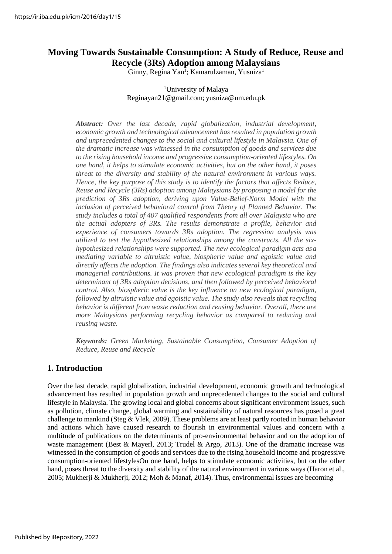## **Moving Towards Sustainable Consumption: A Study of Reduce, Reuse and Recycle (3Rs) Adoption among Malaysians**

Ginny, Regina Yan<sup>1</sup>; Kamarulzaman, Yusniza<sup>1</sup>

<sup>1</sup>University of Malaya Reginayan21@gmail.com; [yusniza@um.edu.pk](mailto:yusniza@um.edu.pk)

*Abstract: Over the last decade, rapid globalization, industrial development, economic growth and technological advancement hasresulted in population growth and unprecedented changes to the social and cultural lifestyle in Malaysia. One of the dramatic increase was witnessed in the consumption of goods and services due to the rising household income and progressive consumption-oriented lifestyles. On one hand, it helps to stimulate economic activities, but on the other hand, it poses threat to the diversity and stability of the natural environment in various ways. Hence, the key purpose of this study is to identify the factors that affects Reduce, Reuse and Recycle (3Rs) adoption among Malaysians by proposing a model for the prediction of 3Rs adoption, deriving upon Value-Belief-Norm Model with the*  inclusion of perceived behavioral control from Theory of Planned Behavior. The *study includes a total of 407 qualified respondents from all over Malaysia who are the actual adopters of 3Rs. The results demonstrate a profile, behavior and experience of consumers towards 3Rs adoption. The regression analysis was utilized to test the hypothesized relationships among the constructs. All the sixhypothesized relationships were supported. The new ecological paradigm acts asa mediating variable to altruistic value, biospheric value and egoistic value and directly affects the adoption. The findings also indicates several key theoretical and managerial contributions. It was proven that new ecological paradigm is the key determinant of 3Rs adoption decisions, and then followed by perceived behavioral control. Also, biospheric value is the key influence on new ecological paradigm, followed by altruistic value and egoistic value. The study also reveals that recycling behavior is different from waste reduction and reusing behavior. Overall, there are more Malaysians performing recycling behavior as compared to reducing and reusing waste.*

*Keywords: Green Marketing, Sustainable Consumption, Consumer Adoption of Reduce, Reuse and Recycle*

## **1. Introduction**

Over the last decade, rapid globalization, industrial development, economic growth and technological advancement has resulted in population growth and unprecedented changes to the social and cultural lifestyle in Malaysia. The growing local and global concerns about significant environment issues, such as pollution, climate change, global warming and sustainability of natural resources has posed a great challenge to mankind (Steg & Vlek, 2009). These problems are at least partly rooted in human behavior and actions which have caused research to flourish in environmental values and concern with a multitude of publications on the determinants of pro-environmental behavior and on the adoption of waste management (Best & Mayerl, 2013; Trudel & Argo, 2013). One of the dramatic increase was witnessed in the consumption of goods and services due to the rising household income and progressive consumption-oriented lifestylesOn one hand, helps to stimulate economic activities, but on the other hand, poses threat to the diversity and stability of the natural environment in various ways (Haron et al., 2005; Mukherji & Mukherji, 2012; Moh & Manaf, 2014). Thus, environmental issues are becoming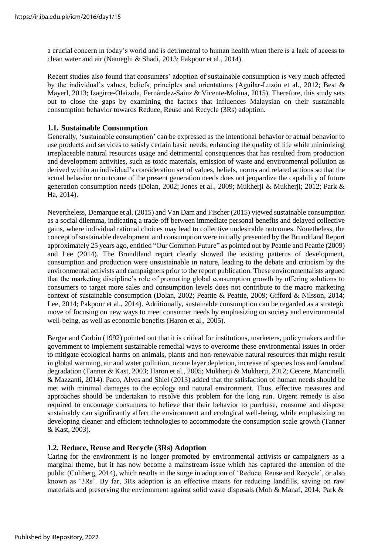a crucial concern in today's world and is detrimental to human health when there is a lack of access to clean water and air (Nameghi & Shadi, 2013; Pakpour et al., 2014).

Recent studies also found that consumers' adoption of sustainable consumption is very much affected by the individual's values, beliefs, principles and orientations (Aguilar-Luzón et al., 2012; Best & Mayerl, 2013; Izagirre-Olaizola, Fernández-Sainz & Vicente-Molina, 2015). Therefore, this study sets out to close the gaps by examining the factors that influences Malaysian on their sustainable consumption behavior towards Reduce, Reuse and Recycle (3Rs) adoption.

#### **1.1. Sustainable Consumption**

Generally, 'sustainable consumption' can be expressed as the intentional behavior or actual behavior to use products and services to satisfy certain basic needs; enhancing the quality of life while minimizing irreplaceable natural resources usage and detrimental consequences that has resulted from production and development activities, such as toxic materials, emission of waste and environmental pollution as derived within an individual's consideration set of values, beliefs, norms and related actions so that the actual behavior or outcome of the present generation needs does not jeopardize the capability of future generation consumption needs (Dolan, 2002; Jones et al., 2009; Mukherji & Mukherji; 2012; Park & Ha, 2014).

Nevertheless, Demarque et al. (2015) and Van Dam and Fischer (2015) viewed sustainable consumption as a social dilemma, indicating a trade-off between immediate personal benefits and delayed collective gains, where individual rational choices may lead to collective undesirable outcomes. Nonetheless, the concept of sustainable development and consumption were initially presented by the Brundtland Report approximately 25 years ago, entitled "Our Common Future" as pointed out by Peattie and Peattie (2009) and Lee (2014). The Brundtland report clearly showed the existing patterns of development, consumption and production were unsustainable in nature, leading to the debate and criticism by the environmental activists and campaigners prior to the report publication. These environmentalists argued that the marketing discipline's role of promoting global consumption growth by offering solutions to consumers to target more sales and consumption levels does not contribute to the macro marketing context of sustainable consumption (Dolan, 2002; Peattie & Peattie, 2009; Gifford & Nilsson, 2014; Lee, 2014; Pakpour et al., 2014). Additionally, sustainable consumption can be regarded as a strategic move of focusing on new ways to meet consumer needs by emphasizing on society and environmental well-being, as well as economic benefits (Haron et al., 2005).

Berger and Corbin (1992) pointed out that it is critical for institutions, marketers, policymakers and the government to implement sustainable remedial ways to overcome these environmental issues in order to mitigate ecological harms on animals, plants and non-renewable natural resources that might result in global warming, air and water pollution, ozone layer depletion, increase of species loss and farmland degradation (Tanner & Kast, 2003; Haron et al., 2005; Mukherji & Mukherji, 2012; Cecere, Mancinelli & Mazzanti, 2014). Paco, Alves and Shiel (2013) added that the satisfaction of human needs should be met with minimal damages to the ecology and natural environment. Thus, effective measures and approaches should be undertaken to resolve this problem for the long run. Urgent remedy is also required to encourage consumers to believe that their behavior to purchase, consume and dispose sustainably can significantly affect the environment and ecological well-being, while emphasizing on developing cleaner and efficient technologies to accommodate the consumption scale growth (Tanner & Kast, 2003).

## **1.2. Reduce, Reuse and Recycle (3Rs) Adoption**

Caring for the environment is no longer promoted by environmental activists or campaigners as a marginal theme, but it has now become a mainstream issue which has captured the attention of the public (Culiberg, 2014), which results in the surge in adoption of 'Reduce, Reuse and Recycle', or also known as '3Rs'. By far, 3Rs adoption is an effective means for reducing landfills, saving on raw materials and preserving the environment against solid waste disposals (Moh & Manaf, 2014; Park &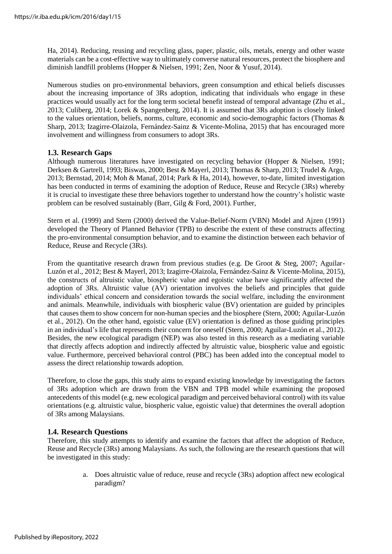Ha, 2014). Reducing, reusing and recycling glass, paper, plastic, oils, metals, energy and other waste materials can be a cost-effective way to ultimately converse natural resources, protect the biosphere and diminish landfill problems (Hopper & Nielsen, 1991; Zen, Noor & Yusuf, 2014).

Numerous studies on pro-environmental behaviors, green consumption and ethical beliefs discusses about the increasing importance of 3Rs adoption, indicating that individuals who engage in these practices would usually act for the long term societal benefit instead of temporal advantage (Zhu et al., 2013; Culiberg, 2014; Lorek & Spangenberg, 2014). It is assumed that 3Rs adoption is closely linked to the values orientation, beliefs, norms, culture, economic and socio-demographic factors (Thomas & Sharp, 2013; Izagirre-Olaizola, Fernández-Sainz & Vicente-Molina, 2015) that has encouraged more involvement and willingness from consumers to adopt 3Rs.

## **1.3. Research Gaps**

Although numerous literatures have investigated on recycling behavior (Hopper & Nielsen, 1991; Derksen & Gartrell, 1993; Biswas, 2000; Best & Mayerl, 2013; Thomas & Sharp, 2013; Trudel & Argo, 2013; Bernstad, 2014; Moh & Manaf, 2014; Park & Ha, 2014), however, to-date, limited investigation has been conducted in terms of examining the adoption of Reduce, Reuse and Recycle (3Rs) whereby it is crucial to investigate these three behaviors together to understand how the country's holistic waste problem can be resolved sustainably (Barr, Gilg & Ford, 2001). Further,

Stern et al. (1999) and Stern (2000) derived the Value-Belief-Norm (VBN) Model and Ajzen (1991) developed the Theory of Planned Behavior (TPB) to describe the extent of these constructs affecting the pro-environmental consumption behavior, and to examine the distinction between each behavior of Reduce, Reuse and Recycle (3Rs).

From the quantitative research drawn from previous studies (e.g. De Groot & Steg, 2007; Aguilar-Luzón et al., 2012; Best & Mayerl, 2013; Izagirre-Olaizola, Fernández-Sainz & Vicente-Molina, 2015), the constructs of altruistic value, biospheric value and egoistic value have significantly affected the adoption of 3Rs. Altruistic value (AV) orientation involves the beliefs and principles that guide individuals' ethical concern and consideration towards the social welfare, including the environment and animals. Meanwhile, individuals with biospheric value (BV) orientation are guided by principles that causes them to show concern for non-human species and the biosphere (Stern, 2000; Aguilar-Luzón et al., 2012). On the other hand, egoistic value (EV) orientation is defined as those guiding principles in an individual's life that represents their concern for oneself (Stern, 2000; Aguilar-Luzón et al., 2012). Besides, the new ecological paradigm (NEP) was also tested in this research as a mediating variable that directly affects adoption and indirectly affected by altruistic value, biospheric value and egoistic value. Furthermore, perceived behavioral control (PBC) has been added into the conceptual model to assess the direct relationship towards adoption.

Therefore, to close the gaps, this study aims to expand existing knowledge by investigating the factors of 3Rs adoption which are drawn from the VBN and TPB model while examining the proposed antecedents of this model (e.g. new ecological paradigm and perceived behavioral control) with its value orientations (e.g. altruistic value, biospheric value, egoistic value) that determines the overall adoption of 3Rs among Malaysians.

## **1.4. Research Questions**

Therefore, this study attempts to identify and examine the factors that affect the adoption of Reduce, Reuse and Recycle (3Rs) among Malaysians. As such, the following are the research questions that will be investigated in this study:

> a. Does altruistic value of reduce, reuse and recycle (3Rs) adoption affect new ecological paradigm?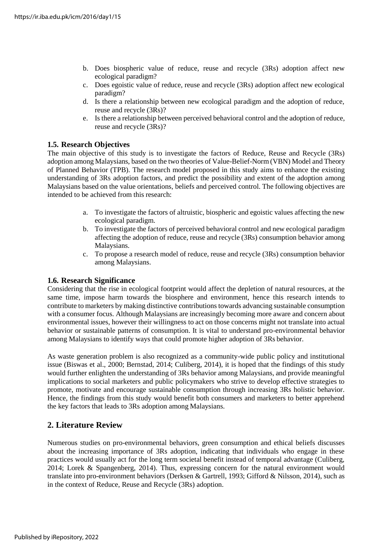- b. Does biospheric value of reduce, reuse and recycle (3Rs) adoption affect new ecological paradigm?
- c. Does egoistic value of reduce, reuse and recycle (3Rs) adoption affect new ecological paradigm?
- d. Is there a relationship between new ecological paradigm and the adoption of reduce, reuse and recycle (3Rs)?
- e. Is there a relationship between perceived behavioral control and the adoption of reduce, reuse and recycle (3Rs)?

## **1.5. Research Objectives**

The main objective of this study is to investigate the factors of Reduce, Reuse and Recycle (3Rs) adoption among Malaysians, based on the two theories of Value-Belief-Norm (VBN) Model and Theory of Planned Behavior (TPB). The research model proposed in this study aims to enhance the existing understanding of 3Rs adoption factors, and predict the possibility and extent of the adoption among Malaysians based on the value orientations, beliefs and perceived control. The following objectives are intended to be achieved from this research:

- a. To investigate the factors of altruistic, biospheric and egoistic values affecting the new ecological paradigm.
- b. To investigate the factors of perceived behavioral control and new ecological paradigm affecting the adoption of reduce, reuse and recycle (3Rs) consumption behavior among Malaysians.
- c. To propose a research model of reduce, reuse and recycle (3Rs) consumption behavior among Malaysians.

## **1.6. Research Significance**

Considering that the rise in ecological footprint would affect the depletion of natural resources, at the same time, impose harm towards the biosphere and environment, hence this research intends to contribute to marketers by making distinctive contributions towards advancing sustainable consumption with a consumer focus. Although Malaysians are increasingly becoming more aware and concern about environmental issues, however their willingness to act on those concerns might not translate into actual behavior or sustainable patterns of consumption. It is vital to understand pro-environmental behavior among Malaysians to identify ways that could promote higher adoption of 3Rs behavior.

As waste generation problem is also recognized as a community-wide public policy and institutional issue (Biswas et al., 2000; Bernstad, 2014; Culiberg, 2014), it is hoped that the findings of this study would further enlighten the understanding of 3Rs behavior among Malaysians, and provide meaningful implications to social marketers and public policymakers who strive to develop effective strategies to promote, motivate and encourage sustainable consumption through increasing 3Rs holistic behavior. Hence, the findings from this study would benefit both consumers and marketers to better apprehend the key factors that leads to 3Rs adoption among Malaysians.

## **2. Literature Review**

Numerous studies on pro-environmental behaviors, green consumption and ethical beliefs discusses about the increasing importance of 3Rs adoption, indicating that individuals who engage in these practices would usually act for the long term societal benefit instead of temporal advantage (Culiberg, 2014; Lorek & Spangenberg, 2014). Thus, expressing concern for the natural environment would translate into pro-environment behaviors (Derksen & Gartrell, 1993; Gifford & Nilsson, 2014), such as in the context of Reduce, Reuse and Recycle (3Rs) adoption.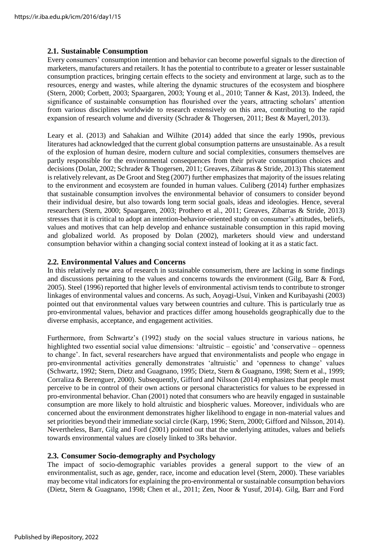#### **2.1. Sustainable Consumption**

Every consumers' consumption intention and behavior can become powerful signals to the direction of marketers, manufacturers and retailers. It has the potential to contribute to a greater or lesser sustainable consumption practices, bringing certain effects to the society and environment at large, such as to the resources, energy and wastes, while altering the dynamic structures of the ecosystem and biosphere (Stern, 2000; Corbett, 2003; Spaargaren, 2003; Young et al., 2010; Tanner & Kast, 2013). Indeed, the significance of sustainable consumption has flourished over the years, attracting scholars' attention from various disciplines worldwide to research extensively on this area, contributing to the rapid expansion of research volume and diversity (Schrader & Thogersen, 2011; Best & Mayerl, 2013).

Leary et al. (2013) and Sahakian and Wilhite (2014) added that since the early 1990s, previous literatures had acknowledged that the current global consumption patterns are unsustainable. As a result of the explosion of human desire, modern culture and social complexities, consumers themselves are partly responsible for the environmental consequences from their private consumption choices and decisions (Dolan, 2002; Schrader & Thogersen, 2011; Greaves, Zibarras & Stride, 2013) This statement is relatively relevant, as De Groot and Steg (2007) further emphasizes that majority of the issues relating to the environment and ecosystem are founded in human values. Culiberg (2014) further emphasizes that sustainable consumption involves the environmental behavior of consumers to consider beyond their individual desire, but also towards long term social goals, ideas and ideologies. Hence, several researchers (Stern, 2000; Spaargaren, 2003; Prothero et al., 2011; Greaves, Zibarras & Stride, 2013) stresses that it is critical to adopt an intention-behavior-oriented study on consumer's attitudes, beliefs, values and motives that can help develop and enhance sustainable consumption in this rapid moving and globalized world. As proposed by Dolan (2002), marketers should view and understand consumption behavior within a changing social context instead of looking at it as a static fact.

#### **2.2. Environmental Values and Concerns**

In this relatively new area of research in sustainable consumerism, there are lacking in some findings and discussions pertaining to the values and concerns towards the environment (Gilg, Barr & Ford, 2005). Steel (1996) reported that higher levels of environmental activism tends to contribute to stronger linkages of environmental values and concerns. As such, Aoyagi-Usui, Vinken and Kuribayashi (2003) pointed out that environmental values vary between countries and culture. This is particularly true as pro-environmental values, behavior and practices differ among households geographically due to the diverse emphasis, acceptance, and engagement activities.

Furthermore, from Schwartz's (1992) study on the social values structure in various nations, he highlighted two essential social value dimensions: 'altruistic – egoistic' and 'conservative – openness to change'. In fact, several researchers have argued that environmentalists and people who engage in pro-environmental activities generally demonstrates 'altruistic' and 'openness to change' values (Schwartz, 1992; Stern, Dietz and Guagnano, 1995; Dietz, Stern & Guagnano, 1998; Stern et al., 1999; Corraliza & Berenguer, 2000). Subsequently, Gifford and Nilsson (2014) emphasizes that people must perceive to be in control of their own actions or personal characteristics for values to be expressed in pro-environmental behavior. Chan (2001) noted that consumers who are heavily engaged in sustainable consumption are more likely to hold altruistic and biospheric values. Moreover, individuals who are concerned about the environment demonstrates higher likelihood to engage in non-material values and set priorities beyond their immediate social circle (Karp, 1996; Stern, 2000; Gifford and Nilsson, 2014). Nevertheless, Barr, Gilg and Ford (2001) pointed out that the underlying attitudes, values and beliefs towards environmental values are closely linked to 3Rs behavior.

## **2.3. Consumer Socio-demography and Psychology**

The impact of socio-demographic variables provides a general support to the view of an environmentalist, such as age, gender, race, income and education level (Stern, 2000). These variables may become vital indicators for explaining the pro-environmental or sustainable consumption behaviors (Dietz, Stern & Guagnano, 1998; Chen et al., 2011; Zen, Noor & Yusuf, 2014). Gilg, Barr and Ford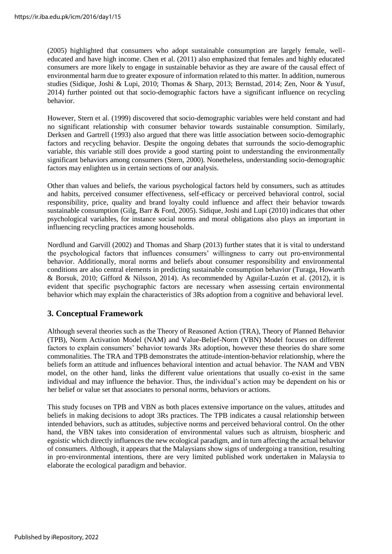(2005) highlighted that consumers who adopt sustainable consumption are largely female, welleducated and have high income. Chen et al. (2011) also emphasized that females and highly educated consumers are more likely to engage in sustainable behavior as they are aware of the causal effect of environmental harm due to greater exposure of information related to this matter. In addition, numerous studies (Sidique, Joshi & Lupi, 2010; Thomas & Sharp, 2013; Bernstad, 2014; Zen, Noor & Yusuf, 2014) further pointed out that socio-demographic factors have a significant influence on recycling behavior.

However, Stern et al. (1999) discovered that socio-demographic variables were held constant and had no significant relationship with consumer behavior towards sustainable consumption. Similarly, Derksen and Gartrell (1993) also argued that there was little association between socio-demographic factors and recycling behavior. Despite the ongoing debates that surrounds the socio-demographic variable, this variable still does provide a good starting point to understanding the environmentally significant behaviors among consumers (Stern, 2000). Nonetheless, understanding socio-demographic factors may enlighten us in certain sections of our analysis.

Other than values and beliefs, the various psychological factors held by consumers, such as attitudes and habits, perceived consumer effectiveness, self-efficacy or perceived behavioral control, social responsibility, price, quality and brand loyalty could influence and affect their behavior towards sustainable consumption (Gilg, Barr & Ford, 2005). Sidique, Joshi and Lupi (2010) indicates that other psychological variables, for instance social norms and moral obligations also plays an important in influencing recycling practices among households.

Nordlund and Garvill (2002) and Thomas and Sharp (2013) further states that it is vital to understand the psychological factors that influences consumers' willingness to carry out pro-environmental behavior. Additionally, moral norms and beliefs about consumer responsibility and environmental conditions are also central elements in predicting sustainable consumption behavior (Turaga, Howarth & Borsuk, 2010; Gifford & Nilsson, 2014). As recommended by Aguilar-Luzón et al. (2012), it is evident that specific psychographic factors are necessary when assessing certain environmental behavior which may explain the characteristics of 3Rs adoption from a cognitive and behavioral level.

## **3. Conceptual Framework**

Although several theories such as the Theory of Reasoned Action (TRA), Theory of Planned Behavior (TPB), Norm Activation Model (NAM) and Value-Belief-Norm (VBN) Model focuses on different factors to explain consumers' behavior towards 3Rs adoption, however these theories do share some commonalities. The TRA and TPB demonstrates the attitude-intention-behavior relationship, where the beliefs form an attitude and influences behavioral intention and actual behavior. The NAM and VBN model, on the other hand, links the different value orientations that usually co-exist in the same individual and may influence the behavior. Thus, the individual's action may be dependent on his or her belief or value set that associates to personal norms, behaviors or actions.

This study focuses on TPB and VBN as both places extensive importance on the values, attitudes and beliefs in making decisions to adopt 3Rs practices. The TPB indicates a causal relationship between intended behaviors, such as attitudes, subjective norms and perceived behavioral control. On the other hand, the VBN takes into consideration of environmental values such as altruism, biospheric and egoistic which directly influences the new ecological paradigm, and in turn affecting the actual behavior of consumers. Although, it appears that the Malaysians show signs of undergoing a transition, resulting in pro‐environmental intentions, there are very limited published work undertaken in Malaysia to elaborate the ecological paradigm and behavior.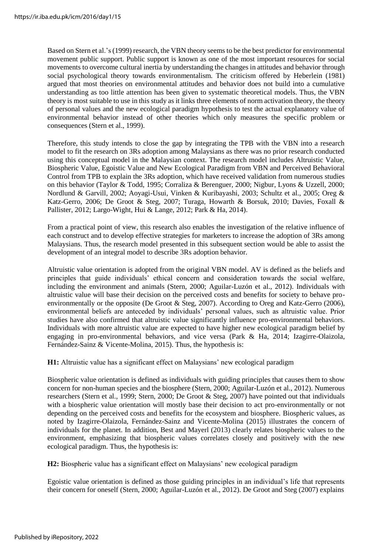Based on Stern et al.'s(1999) research, the VBN theory seems to be the best predictor for environmental movement public support. Public support is known as one of the most important resources for social movements to overcome cultural inertia by understanding the changes in attitudes and behavior through social psychological theory towards environmentalism. The criticism offered by Heberlein (1981) argued that most theories on environmental attitudes and behavior does not build into a cumulative understanding as too little attention has been given to systematic theoretical models. Thus, the VBN theory is most suitable to use in this study as it links three elements of norm activation theory, the theory of personal values and the new ecological paradigm hypothesis to test the actual explanatory value of environmental behavior instead of other theories which only measures the specific problem or consequences (Stern et al., 1999).

Therefore, this study intends to close the gap by integrating the TPB with the VBN into a research model to fit the research on 3Rs adoption among Malaysians as there was no prior research conducted using this conceptual model in the Malaysian context. The research model includes Altruistic Value, Biospheric Value, Egoistic Value and New Ecological Paradigm from VBN and Perceived Behavioral Control from TPB to explain the 3Rs adoption, which have received validation from numerous studies on this behavior (Taylor & Todd, 1995; Corraliza & Berenguer, 2000; Nigbur, Lyons & Uzzell, 2000; Nordlund & Garvill, 2002; Aoyagi-Usui, Vinken & Kuribayashi, 2003; Schultz et al., 2005; Oreg & Katz-Gerro, 2006; De Groot & Steg, 2007; Turaga, Howarth & Borsuk, 2010; Davies, Foxall & Pallister, 2012; Largo-Wight, Hui & Lange, 2012; Park & Ha, 2014).

From a practical point of view, this research also enables the investigation of the relative influence of each construct and to develop effective strategies for marketers to increase the adoption of 3Rs among Malaysians. Thus, the research model presented in this subsequent section would be able to assist the development of an integral model to describe 3Rs adoption behavior.

Altruistic value orientation is adopted from the original VBN model. AV is defined as the beliefs and principles that guide individuals' ethical concern and consideration towards the social welfare, including the environment and animals (Stern, 2000; Aguilar-Luzón et al., 2012). Individuals with altruistic value will base their decision on the perceived costs and benefits for society to behave proenvironmentally or the opposite (De Groot & Steg, 2007). According to Oreg and Katz-Gerro (2006), environmental beliefs are anteceded by individuals' personal values, such as altruistic value. Prior studies have also confirmed that altruistic value significantly influence pro-environmental behaviors. Individuals with more altruistic value are expected to have higher new ecological paradigm belief by engaging in pro-environmental behaviors, and vice versa (Park & Ha, 2014; Izagirre-Olaizola, Fernández-Sainz & Vicente-Molina, 2015). Thus, the hypothesis is:

**H1:** Altruistic value has a significant effect on Malaysians' new ecological paradigm

Biospheric value orientation is defined as individuals with guiding principles that causes them to show concern for non-human species and the biosphere (Stern, 2000; Aguilar-Luzón et al., 2012). Numerous researchers (Stern et al., 1999; Stern, 2000; De Groot & Steg, 2007) have pointed out that individuals with a biospheric value orientation will mostly base their decision to act pro-environmentally or not depending on the perceived costs and benefits for the ecosystem and biosphere. Biospheric values, as noted by Izagirre-Olaizola, Fernández-Sainz and Vicente-Molina (2015) illustrates the concern of individuals for the planet. In addition, Best and Mayerl (2013) clearly relates biospheric values to the environment, emphasizing that biospheric values correlates closely and positively with the new ecological paradigm. Thus, the hypothesis is:

**H2:** Biospheric value has a significant effect on Malaysians' new ecological paradigm

Egoistic value orientation is defined as those guiding principles in an individual's life that represents their concern for oneself (Stern, 2000; Aguilar-Luzón et al., 2012). De Groot and Steg (2007) explains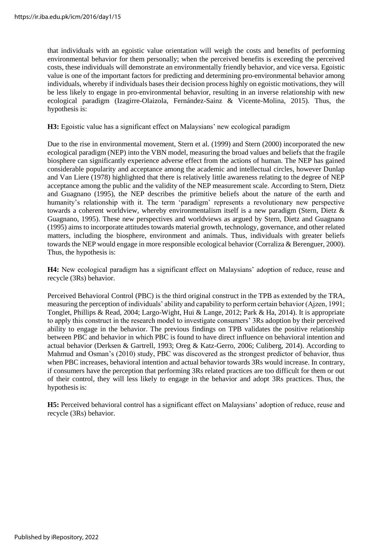that individuals with an egoistic value orientation will weigh the costs and benefits of performing environmental behavior for them personally; when the perceived benefits is exceeding the perceived costs, these individuals will demonstrate an environmentally friendly behavior, and vice versa. Egoistic value is one of the important factors for predicting and determining pro-environmental behavior among individuals, whereby if individuals bases their decision process highly on egoistic motivations, they will be less likely to engage in pro-environmental behavior, resulting in an inverse relationship with new ecological paradigm (Izagirre-Olaizola, Fernández-Sainz & Vicente-Molina, 2015). Thus, the hypothesis is:

**H3:** Egoistic value has a significant effect on Malaysians' new ecological paradigm

Due to the rise in environmental movement, Stern et al. (1999) and Stern (2000) incorporated the new ecological paradigm (NEP) into the VBN model, measuring the broad values and beliefs that the fragile biosphere can significantly experience adverse effect from the actions of human. The NEP has gained considerable popularity and acceptance among the academic and intellectual circles, however Dunlap and Van Liere (1978) highlighted that there is relatively little awareness relating to the degree of NEP acceptance among the public and the validity of the NEP measurement scale. According to Stern, Dietz and Guagnano (1995), the NEP describes the primitive beliefs about the nature of the earth and humanity's relationship with it. The term 'paradigm' represents a revolutionary new perspective towards a coherent worldview, whereby environmentalism itself is a new paradigm (Stern, Dietz & Guagnano, 1995). These new perspectives and worldviews as argued by Stern, Dietz and Guagnano (1995) aims to incorporate attitudestowards material growth, technology, governance, and other related matters, including the biosphere, environment and animals. Thus, individuals with greater beliefs towards the NEP would engage in more responsible ecological behavior (Corraliza & Berenguer, 2000). Thus, the hypothesis is:

**H4:** New ecological paradigm has a significant effect on Malaysians' adoption of reduce, reuse and recycle (3Rs) behavior.

Perceived Behavioral Control (PBC) is the third original construct in the TPB as extended by the TRA, measuring the perception of individuals' ability and capability to perform certain behavior (Ajzen, 1991; Tonglet, Phillips & Read, 2004; Largo-Wight, Hui & Lange, 2012; Park & Ha, 2014). It is appropriate to apply this construct in the research model to investigate consumers' 3Rs adoption by their perceived ability to engage in the behavior. The previous findings on TPB validates the positive relationship between PBC and behavior in which PBC is found to have direct influence on behavioral intention and actual behavior (Derksen & Gartrell, 1993; Oreg & Katz-Gerro, 2006; Culiberg, 2014). According to Mahmud and Osman's (2010) study, PBC was discovered as the strongest predictor of behavior, thus when PBC increases, behavioral intention and actual behavior towards 3Rs would increase. In contrary, if consumers have the perception that performing 3Rs related practices are too difficult for them or out of their control, they will less likely to engage in the behavior and adopt 3Rs practices. Thus, the hypothesis is:

**H5:** Perceived behavioral control has a significant effect on Malaysians' adoption of reduce, reuse and recycle (3Rs) behavior.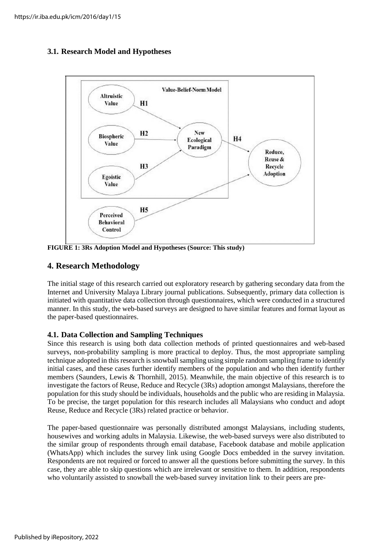## **3.1. Research Model and Hypotheses**



**FIGURE 1: 3Rs Adoption Model and Hypotheses (Source: This study)**

## **4. Research Methodology**

The initial stage of this research carried out exploratory research by gathering secondary data from the Internet and University Malaya Library journal publications. Subsequently, primary data collection is initiated with quantitative data collection through questionnaires, which were conducted in a structured manner. In this study, the web-based surveys are designed to have similar features and format layout as the paper-based questionnaires.

## **4.1. Data Collection and Sampling Techniques**

Since this research is using both data collection methods of printed questionnaires and web-based surveys, non-probability sampling is more practical to deploy. Thus, the most appropriate sampling technique adopted in this research is snowball sampling using simple random sampling frame to identify initial cases, and these cases further identify members of the population and who then identify further members (Saunders, Lewis & Thornhill, 2015). Meanwhile, the main objective of this research is to investigate the factors of Reuse, Reduce and Recycle (3Rs) adoption amongst Malaysians, therefore the population for this study should be individuals, households and the public who are residing in Malaysia. To be precise, the target population for this research includes all Malaysians who conduct and adopt Reuse, Reduce and Recycle (3Rs) related practice or behavior.

The paper-based questionnaire was personally distributed amongst Malaysians, including students, housewives and working adults in Malaysia. Likewise, the web-based surveys were also distributed to the similar group of respondents through email database, Facebook database and mobile application (WhatsApp) which includes the survey link using Google Docs embedded in the survey invitation. Respondents are not required or forced to answer all the questions before submitting the survey. In this case, they are able to skip questions which are irrelevant or sensitive to them. In addition, respondents who voluntarily assisted to snowball the web-based survey invitation link to their peers are pre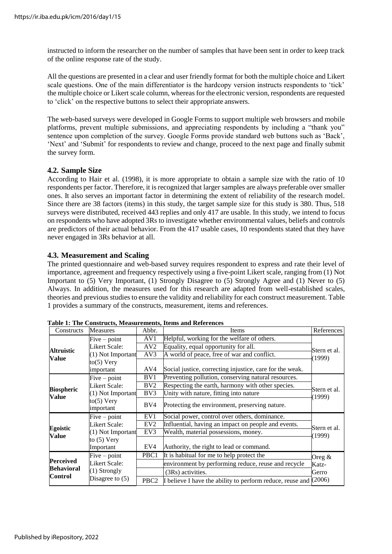instructed to inform the researcher on the number of samples that have been sent in order to keep track of the online response rate of the study.

All the questions are presented in a clear and user friendly format for both the multiple choice and Likert scale questions. One of the main differentiator is the hardcopy version instructs respondents to 'tick' the multiple choice or Likert scale column, whereas for the electronic version, respondents are requested to 'click' on the respective buttons to select their appropriate answers.

The web-based surveys were developed in Google Forms to support multiple web browsers and mobile platforms, prevent multiple submissions, and appreciating respondents by including a "thank you" sentence upon completion of the survey. Google Forms provide standard web buttons such as 'Back', 'Next' and 'Submit' for respondents to review and change, proceed to the next page and finally submit the survey form.

## **4.2. Sample Size**

According to Hair et al. (1998), it is more appropriate to obtain a sample size with the ratio of 10 respondents per factor. Therefore, it isrecognized that larger samples are always preferable over smaller ones. It also serves an important factor in determining the extent of reliability of the research model. Since there are 38 factors (items) in this study, the target sample size for this study is 380. Thus, 518 surveys were distributed, received 443 replies and only 417 are usable. In this study, we intend to focus on respondents who have adopted 3Rs to investigate whether environmental values, beliefs and controls are predictors of their actual behavior. From the 417 usable cases, 10 respondents stated that they have never engaged in 3Rs behavior at all.

## **4.3. Measurement and Scaling**

The printed questionnaire and web-based survey requires respondent to express and rate their level of importance, agreement and frequency respectively using a five-point Likert scale, ranging from (1) Not Important to (5) Very Important, (1) Strongly Disagree to (5) Strongly Agree and (1) Never to (5) Always. In addition, the measures used for this research are adapted from well-established scales, theories and previous studies to ensure the validity and reliability for each construct measurement. Table 1 provides a summary of the constructs, measurement, items and references.

| Constructs                            | <b>Measures</b>            | Abbr.                                                                  | Items                                                     | References             |  |
|---------------------------------------|----------------------------|------------------------------------------------------------------------|-----------------------------------------------------------|------------------------|--|
| Altruistic<br>Value                   | $Five-point$               | AV1                                                                    | Helpful, working for the welfare of others.               |                        |  |
|                                       | Likert Scale:              | AV <sub>2</sub>                                                        | Equality, equal opportunity for all.                      | Stern et al.           |  |
|                                       | (1) Not Important          | AV3                                                                    | A world of peace, free of war and conflict.               | (1999)                 |  |
|                                       | $to(5)$ Very               |                                                                        |                                                           |                        |  |
|                                       | important                  | AV4                                                                    | Social justice, correcting injustice, care for the weak.  |                        |  |
|                                       | $Five-point$               | BV1                                                                    | Preventing pollution, conserving natural resources.       |                        |  |
| <b>Biospheric</b>                     | <b>Likert Scale:</b>       | BV2                                                                    | Respecting the earth, harmony with other species.         |                        |  |
| Value                                 | $(1)$ Not Important        | BV3                                                                    | Unity with nature, fitting into nature                    | Stern et al.<br>(1999) |  |
|                                       | $to(5)$ Very<br>important  | BV4                                                                    | Protecting the environment, preserving nature.            |                        |  |
|                                       | $Five-point$               | EV1                                                                    | Social power, control over others, dominance.             |                        |  |
| Egoistic<br>Value                     | <b>Likert Scale:</b>       | EV <sub>2</sub><br>Influential, having an impact on people and events. |                                                           | Stern et al.           |  |
|                                       | (1) Not Important<br>EV3   |                                                                        | Wealth, material possessions, money.                      | (1999)                 |  |
|                                       | to $(5)$ Very<br>Important | EV4                                                                    | Authority, the right to lead or command.                  |                        |  |
|                                       | $Five-point$               | PBC1                                                                   | It is habitual for me to help protect the                 | Oreg $\&$              |  |
| <b>Perceived</b><br><b>Behavioral</b> | Likert Scale:              |                                                                        | environment by performing reduce, reuse and recycle       | Katz-                  |  |
|                                       | $(1)$ Strongly             |                                                                        | (3Rs) activities.                                         | Gerro                  |  |
| <b>Control</b>                        | Disagree to $(5)$          | PBC <sub>2</sub>                                                       | I believe I have the ability to perform reduce, reuse and | (2006)                 |  |

**Table 1: The Constructs, Measurements, Items and References**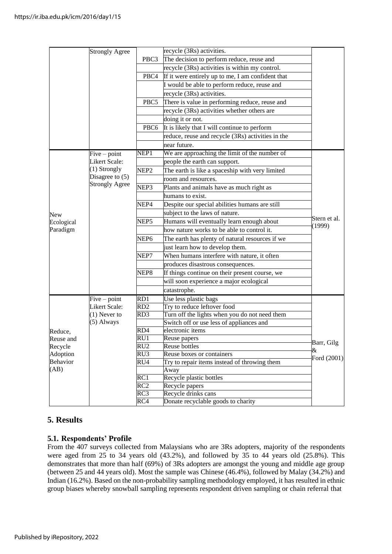|                      | <b>Strongly Agree</b>           |                           | recycle (3Rs) activities.                                                                 |              |
|----------------------|---------------------------------|---------------------------|-------------------------------------------------------------------------------------------|--------------|
|                      |                                 | PBC3                      | The decision to perform reduce, reuse and                                                 |              |
|                      |                                 |                           | recycle (3Rs) activities is within my control.                                            |              |
|                      |                                 | PBC4                      | If it were entirely up to me, I am confident that                                         |              |
|                      |                                 |                           | I would be able to perform reduce, reuse and                                              |              |
|                      |                                 |                           | recycle (3Rs) activities.                                                                 |              |
|                      |                                 | PBC <sub>5</sub>          | There is value in performing reduce, reuse and                                            |              |
|                      |                                 |                           | recycle (3Rs) activities whether others are                                               |              |
|                      |                                 |                           | doing it or not.                                                                          |              |
|                      |                                 | PBC6                      | It is likely that I will continue to perform                                              |              |
|                      |                                 |                           | reduce, reuse and recycle (3Rs) activities in the                                         |              |
|                      |                                 |                           | near future.                                                                              |              |
|                      | $Five-point$                    | NEP <sub>1</sub>          | We are approaching the limit of the number of                                             |              |
|                      | Likert Scale:                   |                           | people the earth can support.                                                             |              |
|                      | (1) Strongly                    | NEP <sub>2</sub>          | The earth is like a spaceship with very limited                                           |              |
|                      | Disagree to $(5)$               |                           | room and resources.                                                                       |              |
|                      | <b>Strongly Agree</b>           | NEP3                      | Plants and animals have as much right as                                                  |              |
|                      |                                 |                           | humans to exist.                                                                          |              |
|                      |                                 | NEP4                      | Despite our special abilities humans are still                                            |              |
| <b>New</b>           |                                 |                           | subject to the laws of nature.                                                            |              |
| Ecological           |                                 | NEP5                      | Humans will eventually learn enough about                                                 | Stern et al. |
| Paradigm             |                                 |                           | how nature works to be able to control it.                                                | (1999)       |
|                      |                                 | NEP <sub>6</sub>          | The earth has plenty of natural resources if we                                           |              |
|                      |                                 |                           | just learn how to develop them.                                                           |              |
|                      |                                 | NEP7                      | When humans interfere with nature, it often                                               |              |
|                      |                                 |                           | produces disastrous consequences.                                                         |              |
|                      |                                 | NEP8                      |                                                                                           |              |
|                      |                                 |                           | If things continue on their present course, we                                            |              |
|                      |                                 |                           | will soon experience a major ecological                                                   |              |
|                      |                                 |                           | catastrophe.                                                                              |              |
|                      | $Five-point$                    | RD1                       | Use less plastic bags                                                                     |              |
|                      | Likert Scale:<br>$(1)$ Never to | RD2                       | Try to reduce leftover food                                                               |              |
|                      | $(5)$ Always                    | RD3                       | Turn off the lights when you do not need them<br>Switch off or use less of appliances and |              |
|                      |                                 | RD4                       | electronic items                                                                          |              |
| Reduce,<br>Reuse and |                                 | RU1                       | Reuse papers                                                                              |              |
| Recycle              |                                 | RU <sub>2</sub>           | Reuse bottles                                                                             | Barr, Gilg   |
| Adoption             |                                 | $\overline{RU3}$          | Reuse boxes or containers                                                                 | &            |
| Behavior             |                                 | $\overline{\mathrm{RU4}}$ | Try to repair items instead of throwing them                                              | Ford (2001)  |
| (AB)                 |                                 |                           | Away                                                                                      |              |
|                      |                                 | RC1                       | Recycle plastic bottles                                                                   |              |
|                      |                                 | $\overline{RC2}$          | Recycle papers                                                                            |              |
|                      |                                 | RC3                       | Recycle drinks cans                                                                       |              |
|                      |                                 | RC4                       | Donate recyclable goods to charity                                                        |              |

## **5. Results**

## **5.1. Respondents' Profile**

From the 407 surveys collected from Malaysians who are 3Rs adopters, majority of the respondents were aged from 25 to 34 years old (43.2%), and followed by 35 to 44 years old (25.8%). This demonstrates that more than half (69%) of 3Rs adopters are amongst the young and middle age group (between 25 and 44 years old). Most the sample was Chinese (46.4%), followed by Malay (34.2%) and Indian (16.2%). Based on the non-probability sampling methodology employed, it has resulted in ethnic group biases whereby snowball sampling represents respondent driven sampling or chain referral that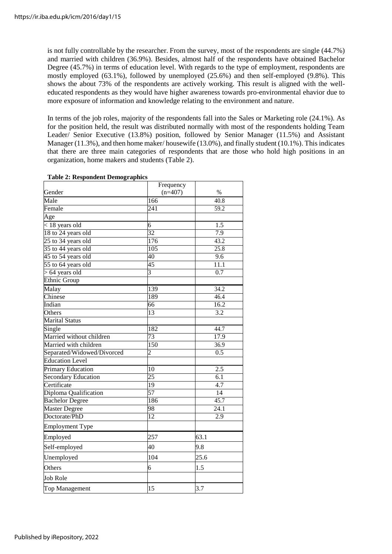is not fully controllable by the researcher. From the survey, most of the respondents are single (44.7%) and married with children (36.9%). Besides, almost half of the respondents have obtained Bachelor Degree (45.7%) in terms of education level. With regards to the type of employment, respondents are mostly employed (63.1%), followed by unemployed (25.6%) and then self-employed (9.8%). This shows the about 73% of the respondents are actively working. This result is aligned with the welleducated respondents as they would have higher awareness towards pro-environmental ehavior due to more exposure of information and knowledge relating to the environment and nature.

In terms of the job roles, majority of the respondents fall into the Sales or Marketing role (24.1%). As for the position held, the result was distributed normally with most of the respondents holding Team Leader/ Senior Executive (13.8%) position, followed by Senior Manager (11.5%) and Assistant Manager (11.3%), and then home maker/ housewife (13.0%), and finally student (10.1%). This indicates that there are three main categories of respondents that are those who hold high positions in an organization, home makers and students (Table 2).

| Table 2. Respondent Demographies<br>Gender | Frequency<br>$(n=407)$ | %                 |
|--------------------------------------------|------------------------|-------------------|
| Male                                       | 166                    | 40.8              |
| Female                                     | $\overline{241}$       | $\overline{59.2}$ |
| Age                                        |                        |                   |
| $<$ 18 years old                           | 6                      | $\overline{1.5}$  |
| 18 to 24 years old                         | 32                     | 7.9               |
| 25 to 34 years old                         | 176                    | 43.2              |
| 35 to 44 years old                         | $\overline{105}$       | 25.8              |
| 45 to 54 years old                         | 40                     | $\overline{9.6}$  |
| 55 to 64 years old                         | 45                     | $\overline{11.1}$ |
| $> 64$ years old                           | $\overline{3}$         | 0.7               |
| <b>Ethnic Group</b>                        |                        |                   |
| Malay                                      | 139                    | 34.2              |
| Chinese                                    | 189                    | 46.4              |
| Indian                                     | 66                     | 16.2              |
| <b>Others</b>                              | 13                     | 3.2               |
| <b>Marital Status</b>                      |                        |                   |
| Single                                     | 182                    | 44.7              |
| Married without children                   | 73                     | 17.9              |
| Married with children                      | 150                    | 36.9              |
| Separated/Widowed/Divorced                 |                        | 0.5               |
| <b>Education Level</b>                     |                        |                   |
| <b>Primary Education</b>                   | 10                     | 2.5               |
| Secondary Education                        | 25                     | $\overline{6.1}$  |
| Certificate                                | $\overline{19}$        | $\overline{4.7}$  |
| Diploma Qualification                      | 57                     | 14                |
| <b>Bachelor Degree</b>                     | 186                    | 45.7              |
| <b>Master Degree</b>                       | 98                     | 24.1              |
| Doctorate/PhD                              | 12                     | $\overline{2.9}$  |
| <b>Employment Type</b>                     |                        |                   |
| Employed                                   | 257                    | 63.1              |
| Self-employed                              | 40                     | 9.8               |
| Unemployed                                 | 104                    | 25.6              |
| Others                                     | 6                      | 1.5               |
| <b>Job Role</b>                            |                        |                   |
| Top Management                             | 15                     | 3.7               |

#### **Table 2: Respondent Demographics**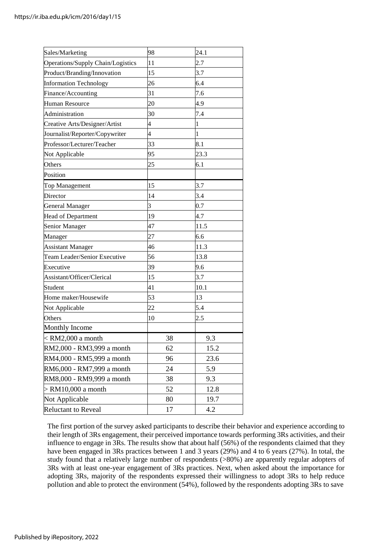| Sales/Marketing                   | 98                      | 24.1           |
|-----------------------------------|-------------------------|----------------|
| Operations/Supply Chain/Logistics | 11                      | 2.7            |
| Product/Branding/Innovation       | 15                      | 3.7            |
| <b>Information Technology</b>     | 26                      | 6.4            |
| Finance/Accounting                | 31                      | 7.6            |
| <b>Human Resource</b>             | 20                      | 4.9            |
| Administration                    | 30                      | 7.4            |
| Creative Arts/Designer/Artist     | $\overline{4}$          | 1              |
| Journalist/Reporter/Copywriter    | $\overline{4}$          | $\overline{1}$ |
| Professor/Lecturer/Teacher        | 33                      | 8.1            |
| Not Applicable                    | 95                      | 23.3           |
| Others                            | 25                      | 6.1            |
| Position                          |                         |                |
| Top Management                    | 15                      | 3.7            |
| Director                          | 14                      | 3.4            |
| <b>General Manager</b>            | $\overline{\mathbf{3}}$ | 0.7            |
| <b>Head of Department</b>         | 19                      | 4.7            |
| Senior Manager                    | 47                      | 11.5           |
| Manager                           | 27                      | 6.6            |
| <b>Assistant Manager</b>          | 46                      | 11.3           |
| Team Leader/Senior Executive      | 56                      | 13.8           |
| Executive                         | 39                      | 9.6            |
| Assistant/Officer/Clerical        | 15                      | 3.7            |
| Student                           | 41                      | 10.1           |
| Home maker/Housewife              | 53                      | 13             |
| Not Applicable                    | 22                      | 5.4            |
| Others                            | 10                      | 2.5            |
| <b>Monthly Income</b>             |                         |                |
| $<$ RM2,000 a month               | 38                      | 9.3            |
| RM2,000 - RM3,999 a month         | 62                      | 15.2           |
| RM4,000 - RM5,999 a month         | 96                      | 23.6           |
| RM6,000 - RM7,999 a month         | 24                      | 5.9            |
| RM8,000 - RM9,999 a month         | 38                      | 9.3            |
| $>$ RM10,000 a month              | 52                      | 12.8           |
| Not Applicable                    | 80                      | 19.7           |
| <b>Reluctant to Reveal</b>        | 17                      | 4.2            |

The first portion of the survey asked participants to describe their behavior and experience according to their length of 3Rs engagement, their perceived importance towards performing 3Rs activities, and their influence to engage in 3Rs. The results show that about half (56%) of the respondents claimed that they have been engaged in 3Rs practices between 1 and 3 years (29%) and 4 to 6 years (27%). In total, the study found that a relatively large number of respondents (>80%) are apparently regular adopters of 3Rs with at least one-year engagement of 3Rs practices. Next, when asked about the importance for adopting 3Rs, majority of the respondents expressed their willingness to adopt 3Rs to help reduce pollution and able to protect the environment (54%), followed by the respondents adopting 3Rs to save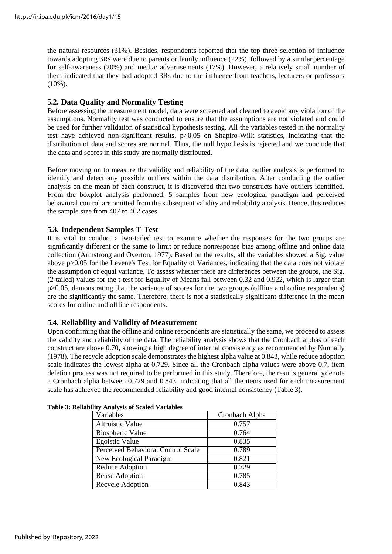the natural resources (31%). Besides, respondents reported that the top three selection of influence towards adopting 3Rs were due to parents or family influence (22%), followed by a similar percentage for self-awareness (20%) and media/ advertisements (17%). However, a relatively small number of them indicated that they had adopted 3Rs due to the influence from teachers, lecturers or professors (10%).

## **5.2. Data Quality and Normality Testing**

Before assessing the measurement model, data were screened and cleaned to avoid any violation of the assumptions. Normality test was conducted to ensure that the assumptions are not violated and could be used for further validation of statistical hypothesis testing. All the variables tested in the normality test have achieved non-significant results, p>0.05 on Shapiro-Wilk statistics, indicating that the distribution of data and scores are normal. Thus, the null hypothesis is rejected and we conclude that the data and scores in this study are normally distributed.

Before moving on to measure the validity and reliability of the data, outlier analysis is performed to identify and detect any possible outliers within the data distribution. After conducting the outlier analysis on the mean of each construct, it is discovered that two constructs have outliers identified. From the boxplot analysis performed, 5 samples from new ecological paradigm and perceived behavioral control are omitted from the subsequent validity and reliability analysis. Hence, this reduces the sample size from 407 to 402 cases.

## **5.3. Independent Samples T-Test**

It is vital to conduct a two-tailed test to examine whether the responses for the two groups are significantly different or the same to limit or reduce nonresponse bias among offline and online data collection (Armstrong and Overton, 1977). Based on the results, all the variables showed a Sig. value above p>0.05 for the Levene's Test for Equality of Variances, indicating that the data does not violate the assumption of equal variance. To assess whether there are differences between the groups, the Sig. (2-tailed) values for the t-test for Equality of Means fall between 0.32 and 0.922, which is larger than p>0.05, demonstrating that the variance of scores for the two groups (offline and online respondents) are the significantly the same. Therefore, there is not a statistically significant difference in the mean scores for online and offline respondents.

## **5.4. Reliability and Validity of Measurement**

Upon confirming that the offline and online respondents are statistically the same, we proceed to assess the validity and reliability of the data. The reliability analysis shows that the Cronbach alphas of each construct are above 0.70, showing a high degree of internal consistency as recommended by Nunnally (1978). The recycle adoption scale demonstrates the highest alpha value at 0.843, while reduce adoption scale indicates the lowest alpha at 0.729. Since all the Cronbach alpha values were above 0.7, item deletion process was not required to be performed in this study. Therefore, the results generallydenote a Cronbach alpha between 0.729 and 0.843, indicating that all the items used for each measurement scale has achieved the recommended reliability and good internal consistency (Table 3).

| Variables                          | Cronbach Alpha |
|------------------------------------|----------------|
| <b>Altruistic Value</b>            | 0.757          |
| Biospheric Value                   | 0.764          |
| <b>Egoistic Value</b>              | 0.835          |
| Perceived Behavioral Control Scale | 0.789          |
| New Ecological Paradigm            | 0.821          |
| Reduce Adoption                    | 0.729          |
| Reuse Adoption                     | 0.785          |
| Recycle Adoption                   | 0.843          |

|  | <b>Table 3: Reliability Analysis of Scaled Variables</b> |  |  |  |
|--|----------------------------------------------------------|--|--|--|
|--|----------------------------------------------------------|--|--|--|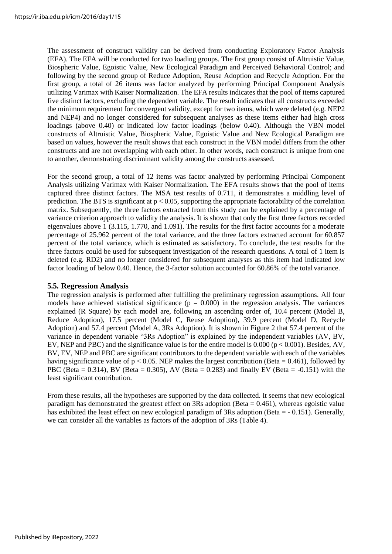The assessment of construct validity can be derived from conducting Exploratory Factor Analysis (EFA). The EFA will be conducted for two loading groups. The first group consist of Altruistic Value, Biospheric Value, Egoistic Value, New Ecological Paradigm and Perceived Behavioral Control; and following by the second group of Reduce Adoption, Reuse Adoption and Recycle Adoption. For the first group, a total of 26 items was factor analyzed by performing Principal Component Analysis utilizing Varimax with Kaiser Normalization. The EFA results indicates that the pool of items captured five distinct factors, excluding the dependent variable. The result indicates that all constructs exceeded the minimum requirement for convergent validity, except for two items, which were deleted (e.g. NEP2 and NEP4) and no longer considered for subsequent analyses as these items either had high cross loadings (above 0.40) or indicated low factor loadings (below 0.40). Although the VBN model constructs of Altruistic Value, Biospheric Value, Egoistic Value and New Ecological Paradigm are based on values, however the result shows that each construct in the VBN model differs from the other constructs and are not overlapping with each other. In other words, each construct is unique from one to another, demonstrating discriminant validity among the constructs assessed.

For the second group, a total of 12 items was factor analyzed by performing Principal Component Analysis utilizing Varimax with Kaiser Normalization. The EFA results shows that the pool of items captured three distinct factors. The MSA test results of 0.711, it demonstrates a middling level of prediction. The BTS is significant at  $p < 0.05$ , supporting the appropriate factorability of the correlation matrix. Subsequently, the three factors extracted from this study can be explained by a percentage of variance criterion approach to validity the analysis. It is shown that only the first three factors recorded eigenvalues above 1 (3.115, 1.770, and 1.091). The results for the first factor accounts for a moderate percentage of 25.962 percent of the total variance, and the three factors extracted account for 60.857 percent of the total variance, which is estimated as satisfactory. To conclude, the test results for the three factors could be used for subsequent investigation of the research questions. A total of 1 item is deleted (e.g. RD2) and no longer considered for subsequent analyses as this item had indicated low factor loading of below 0.40. Hence, the 3-factor solution accounted for 60.86% of the total variance.

## **5.5. Regression Analysis**

The regression analysis is performed after fulfilling the preliminary regression assumptions. All four models have achieved statistical significance ( $p = 0.000$ ) in the regression analysis. The variances explained (R Square) by each model are, following an ascending order of, 10.4 percent (Model B, Reduce Adoption), 17.5 percent (Model C, Reuse Adoption), 39.9 percent (Model D, Recycle Adoption) and 57.4 percent (Model A, 3Rs Adoption). It is shown in Figure 2 that 57.4 percent of the variance in dependent variable "3Rs Adoption" is explained by the independent variables (AV, BV, EV, NEP and PBC) and the significance value is for the entire model is 0.000 ( $p < 0.001$ ). Besides, AV, BV, EV, NEP and PBC are significant contributors to the dependent variable with each of the variables having significance value of  $p < 0.05$ . NEP makes the largest contribution (Beta = 0.461), followed by PBC (Beta = 0.314), BV (Beta = 0.305), AV (Beta = 0.283) and finally EV (Beta =  $-0.151$ ) with the least significant contribution.

From these results, all the hypotheses are supported by the data collected. It seems that new ecological paradigm has demonstrated the greatest effect on  $3Rs$  adoption (Beta = 0.461), whereas egoistic value has exhibited the least effect on new ecological paradigm of 3Rs adoption (Beta = - 0.151). Generally, we can consider all the variables as factors of the adoption of 3Rs (Table 4).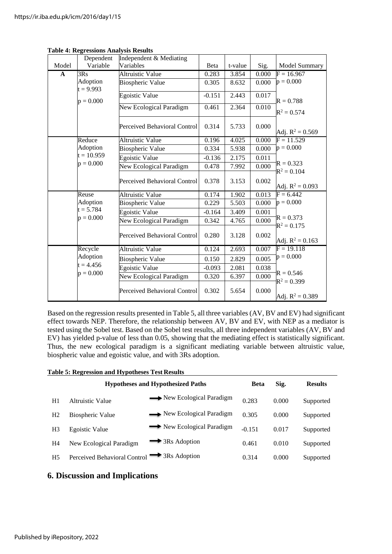|             | rable +. Regressions Analysis Results<br>Dependent | Independent & Mediating      |          |         |       |                              |
|-------------|----------------------------------------------------|------------------------------|----------|---------|-------|------------------------------|
| Model       | Variable                                           | Variables                    | Beta     | t-value | Sig.  | Model Summary                |
| $\mathbf A$ | 3Rs                                                | <b>Altruistic Value</b>      | 0.283    | 3.854   | 0.000 | $F = 16.967$                 |
|             | Adoption<br>$t = 9.993$                            | <b>Biospheric Value</b>      | 0.305    | 8.632   | 0.000 | $p = 0.000$                  |
|             | $p = 0.000$                                        | <b>Egoistic Value</b>        | $-0.151$ | 2.443   | 0.017 | $R = 0.788$                  |
|             |                                                    | New Ecological Paradigm      | 0.461    | 2.364   | 0.010 | $R^2 = 0.574$                |
|             |                                                    | Perceived Behavioral Control | 0.314    | 5.733   | 0.000 | Adj. $R^2 = 0.569$           |
|             | Reduce                                             | <b>Altruistic Value</b>      | 0.196    | 4.025   | 0.000 | $F = 11.529$                 |
|             | Adoption                                           | <b>Biospheric Value</b>      | 0.334    | 5.938   | 0.000 | $p = 0.000$                  |
|             | $t = 10.959$                                       | Egoistic Value               | $-0.136$ | 2.175   | 0.011 |                              |
|             | $p = 0.000$                                        | New Ecological Paradigm      | 0.478    | 7.992   | 0.000 | $R = 0.323$<br>$R^2 = 0.104$ |
|             |                                                    | Perceived Behavioral Control | 0.378    | 3.153   | 0.002 | Adj. $R^2 = 0.093$           |
|             | Reuse                                              | <b>Altruistic Value</b>      | 0.174    | 1.902   | 0.013 | $F = 6.442$                  |
|             | Adoption                                           | <b>Biospheric Value</b>      | 0.229    | 5.503   | 0.000 | $p = 0.000$                  |
|             | $t = 5.784$                                        | <b>Egoistic Value</b>        | $-0.164$ | 3.409   | 0.001 |                              |
|             | $p = 0.000$                                        | New Ecological Paradigm      | 0.342    | 4.765   | 0.000 | $R = 0.373$<br>$R^2 = 0.175$ |
|             |                                                    | Perceived Behavioral Control | 0.280    | 3.128   | 0.002 | Adj. $R^2 = 0.163$           |
|             | Recycle                                            | <b>Altruistic Value</b>      | 0.124    | 2.693   | 0.007 | $F = 19.118$                 |
|             | Adoption                                           | <b>Biospheric Value</b>      | 0.150    | 2.829   | 0.005 | $p = 0.000$                  |
|             | $t = 4.456$                                        | <b>Egoistic Value</b>        | $-0.093$ | 2.081   | 0.038 |                              |
|             | $p = 0.000$                                        | New Ecological Paradigm      | 0.320    | 6.397   | 0.000 | $R = 0.546$<br>$R^2 = 0.399$ |
|             |                                                    | Perceived Behavioral Control | 0.302    | 5.654   | 0.000 | Adj. $R^2 = 0.389$           |

#### **Table 4: Regressions Analysis Results**

Based on the regression results presented in Table 5, all three variables (AV, BV and EV) had significant effect towards NEP. Therefore, the relationship between AV, BV and EV, with NEP as a mediator is tested using the Sobel test. Based on the Sobel test results, all three independent variables (AV, BV and EV) has yielded p-value of less than 0.05, showing that the mediating effect is statistically significant. Thus, the new ecological paradigm is a significant mediating variable between altruistic value, biospheric value and egoistic value, and with 3Rs adoption.

#### **Table 5: Regression and Hypotheses Test Results**

|                | <b>Hypotheses and Hypothesized Paths</b> |                            |          | Sig.  | <b>Results</b> |
|----------------|------------------------------------------|----------------------------|----------|-------|----------------|
| H1             | Altruistic Value                         | → New Ecological Paradigm  | 0.283    | 0.000 | Supported      |
| H <sub>2</sub> | Biospheric Value                         | New Ecological Paradigm    | 0.305    | 0.000 | Supported      |
| H <sub>3</sub> | Egoistic Value                           | New Ecological Paradigm    | $-0.151$ | 0.017 | Supported      |
| H4             | New Ecological Paradigm                  | $\rightarrow$ 3Rs Adoption | 0.461    | 0.010 | Supported      |
| H <sub>5</sub> | Perceived Behavioral Control             | $\rightarrow$ 3Rs Adoption | 0.314    | 0.000 | Supported      |

## **6. Discussion and Implications**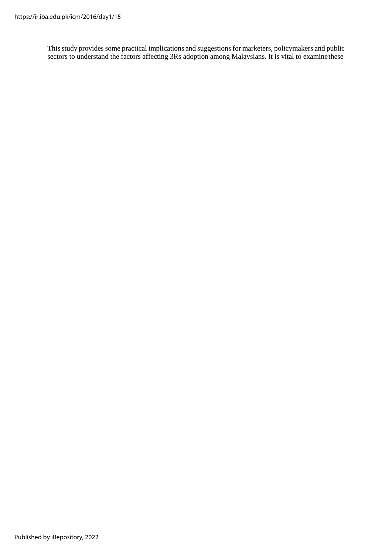This study provides some practical implications and suggestions for marketers, policymakers and public sectors to understand the factors affecting 3Rs adoption among Malaysians. It is vital to examine these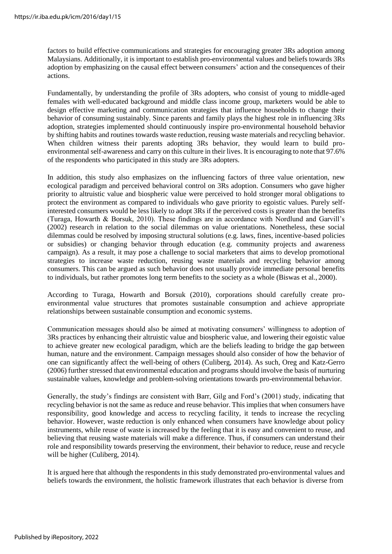factors to build effective communications and strategies for encouraging greater 3Rs adoption among Malaysians. Additionally, it is important to establish pro-environmental values and beliefs towards 3Rs adoption by emphasizing on the causal effect between consumers' action and the consequences of their actions.

Fundamentally, by understanding the profile of 3Rs adopters, who consist of young to middle-aged females with well-educated background and middle class income group, marketers would be able to design effective marketing and communication strategies that influence households to change their behavior of consuming sustainably. Since parents and family plays the highest role in influencing 3Rs adoption, strategies implemented should continuously inspire pro-environmental household behavior by shifting habits and routines towards waste reduction, reusing waste materials and recycling behavior. When children witness their parents adopting 3Rs behavior, they would learn to build proenvironmental self-awareness and carry on this culture in their lives. It is encouraging to note that 97.6% of the respondents who participated in this study are 3Rs adopters.

In addition, this study also emphasizes on the influencing factors of three value orientation, new ecological paradigm and perceived behavioral control on 3Rs adoption. Consumers who gave higher priority to altruistic value and biospheric value were perceived to hold stronger moral obligations to protect the environment as compared to individuals who gave priority to egoistic values. Purely selfinterested consumers would be less likely to adopt 3Rs if the perceived costs is greater than the benefits (Turaga, Howarth & Borsuk, 2010). These findings are in accordance with Nordlund and Garvill's (2002) research in relation to the social dilemmas on value orientations. Nonetheless, these social dilemmas could be resolved by imposing structural solutions (e.g. laws, fines, incentive-based policies or subsidies) or changing behavior through education (e.g. community projects and awareness campaign). As a result, it may pose a challenge to social marketers that aims to develop promotional strategies to increase waste reduction, reusing waste materials and recycling behavior among consumers. This can be argued as such behavior does not usually provide immediate personal benefits to individuals, but rather promotes long term benefits to the society as a whole (Biswas et al., 2000).

According to Turaga, Howarth and Borsuk (2010), corporations should carefully create proenvironmental value structures that promotes sustainable consumption and achieve appropriate relationships between sustainable consumption and economic systems.

Communication messages should also be aimed at motivating consumers' willingness to adoption of 3Rs practices by enhancing their altruistic value and biospheric value, and lowering their egoistic value to achieve greater new ecological paradigm, which are the beliefs leading to bridge the gap between human, nature and the environment. Campaign messages should also consider of how the behavior of one can significantly affect the well-being of others (Culiberg, 2014). As such, Oreg and Katz-Gerro (2006) further stressed that environmental education and programs should involve the basis of nurturing sustainable values, knowledge and problem-solving orientations towards pro-environmental behavior.

Generally, the study's findings are consistent with Barr, Gilg and Ford's (2001) study, indicating that recycling behavior is not the same as reduce and reuse behavior. This implies that when consumers have responsibility, good knowledge and access to recycling facility, it tends to increase the recycling behavior. However, waste reduction is only enhanced when consumers have knowledge about policy instruments, while reuse of waste is increased by the feeling that it is easy and convenient to reuse, and believing that reusing waste materials will make a difference. Thus, if consumers can understand their role and responsibility towards preserving the environment, their behavior to reduce, reuse and recycle will be higher (Culiberg, 2014).

It is argued here that although the respondents in this study demonstrated pro-environmental values and beliefs towards the environment, the holistic framework illustrates that each behavior is diverse from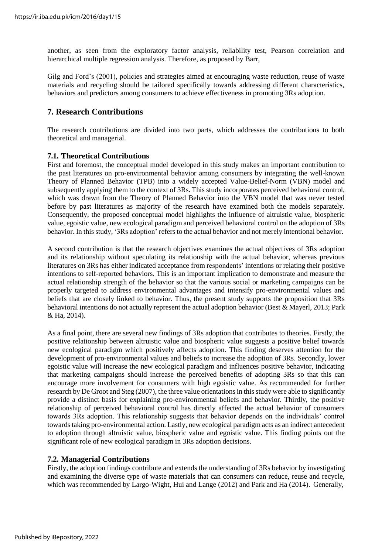another, as seen from the exploratory factor analysis, reliability test, Pearson correlation and hierarchical multiple regression analysis. Therefore, as proposed by Barr,

Gilg and Ford's (2001), policies and strategies aimed at encouraging waste reduction, reuse of waste materials and recycling should be tailored specifically towards addressing different characteristics, behaviors and predictors among consumers to achieve effectiveness in promoting 3Rs adoption.

## **7. Research Contributions**

The research contributions are divided into two parts, which addresses the contributions to both theoretical and managerial.

## **7.1. Theoretical Contributions**

First and foremost, the conceptual model developed in this study makes an important contribution to the past literatures on pro-environmental behavior among consumers by integrating the well-known Theory of Planned Behavior (TPB) into a widely accepted Value-Belief-Norm (VBN) model and subsequently applying them to the context of 3Rs. This study incorporates perceived behavioral control, which was drawn from the Theory of Planned Behavior into the VBN model that was never tested before by past literatures as majority of the research have examined both the models separately. Consequently, the proposed conceptual model highlights the influence of altruistic value, biospheric value, egoistic value, new ecological paradigm and perceived behavioral control on the adoption of 3Rs behavior. In this study, '3Rs adoption' refers to the actual behavior and not merely intentional behavior.

A second contribution is that the research objectives examines the actual objectives of 3Rs adoption and its relationship without speculating its relationship with the actual behavior, whereas previous literatures on 3Rs has either indicated acceptance from respondents' intentions or relating their positive intentions to self-reported behaviors. This is an important implication to demonstrate and measure the actual relationship strength of the behavior so that the various social or marketing campaigns can be properly targeted to address environmental advantages and intensify pro-environmental values and beliefs that are closely linked to behavior. Thus, the present study supports the proposition that 3Rs behavioral intentions do not actually represent the actual adoption behavior (Best & Mayerl, 2013; Park & Ha, 2014).

As a final point, there are several new findings of 3Rs adoption that contributes to theories. Firstly, the positive relationship between altruistic value and biospheric value suggests a positive belief towards new ecological paradigm which positively affects adoption. This finding deserves attention for the development of pro-environmental values and beliefs to increase the adoption of 3Rs. Secondly, lower egoistic value will increase the new ecological paradigm and influences positive behavior, indicating that marketing campaigns should increase the perceived benefits of adopting 3Rs so that this can encourage more involvement for consumers with high egoistic value. As recommended for further research by De Groot and Steg (2007), the three value orientations in this study were able to significantly provide a distinct basis for explaining pro-environmental beliefs and behavior. Thirdly, the positive relationship of perceived behavioral control has directly affected the actual behavior of consumers towards 3Rs adoption. This relationship suggests that behavior depends on the individuals' control towards taking pro-environmental action. Lastly, new ecological paradigm acts as an indirect antecedent to adoption through altruistic value, biospheric value and egoistic value. This finding points out the significant role of new ecological paradigm in 3Rs adoption decisions.

## **7.2. Managerial Contributions**

Firstly, the adoption findings contribute and extends the understanding of 3Rs behavior by investigating and examining the diverse type of waste materials that can consumers can reduce, reuse and recycle, which was recommended by Largo-Wight, Hui and Lange (2012) and Park and Ha (2014). Generally,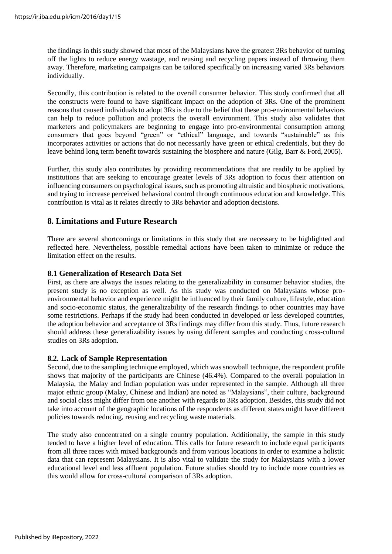the findings in this study showed that most of the Malaysians have the greatest 3Rs behavior of turning off the lights to reduce energy wastage, and reusing and recycling papers instead of throwing them away. Therefore, marketing campaigns can be tailored specifically on increasing varied 3Rs behaviors individually.

Secondly, this contribution is related to the overall consumer behavior. This study confirmed that all the constructs were found to have significant impact on the adoption of 3Rs. One of the prominent reasons that caused individuals to adopt 3Rs is due to the belief that these pro-environmental behaviors can help to reduce pollution and protects the overall environment. This study also validates that marketers and policymakers are beginning to engage into pro-environmental consumption among consumers that goes beyond "green" or "ethical" language, and towards "sustainable" as this incorporates activities or actions that do not necessarily have green or ethical credentials, but they do leave behind long term benefit towards sustaining the biosphere and nature (Gilg, Barr & Ford, 2005).

Further, this study also contributes by providing recommendations that are readily to be applied by institutions that are seeking to encourage greater levels of 3Rs adoption to focus their attention on influencing consumers on psychological issues, such as promoting altruistic and biospheric motivations, and trying to increase perceived behavioral control through continuous education and knowledge. This contribution is vital as it relates directly to 3Rs behavior and adoption decisions.

## **8. Limitations and Future Research**

There are several shortcomings or limitations in this study that are necessary to be highlighted and reflected here. Nevertheless, possible remedial actions have been taken to minimize or reduce the limitation effect on the results.

## **8.1 Generalization of Research Data Set**

First, as there are always the issues relating to the generalizability in consumer behavior studies, the present study is no exception as well. As this study was conducted on Malaysians whose proenvironmental behavior and experience might be influenced by their family culture, lifestyle, education and socio-economic status, the generalizability of the research findings to other countries may have some restrictions. Perhaps if the study had been conducted in developed or less developed countries, the adoption behavior and acceptance of 3Rs findings may differ from this study. Thus, future research should address these generalizability issues by using different samples and conducting cross-cultural studies on 3Rs adoption.

## **8.2. Lack of Sample Representation**

Second, due to the sampling technique employed, which was snowball technique, the respondent profile shows that majority of the participants are Chinese (46.4%). Compared to the overall population in Malaysia, the Malay and Indian population was under represented in the sample. Although all three major ethnic group (Malay, Chinese and Indian) are noted as "Malaysians", their culture, background and social class might differ from one another with regards to 3Rs adoption. Besides, this study did not take into account of the geographic locations of the respondents as different states might have different policies towards reducing, reusing and recycling waste materials.

The study also concentrated on a single country population. Additionally, the sample in this study tended to have a higher level of education. This calls for future research to include equal participants from all three races with mixed backgrounds and from various locations in order to examine a holistic data that can represent Malaysians. It is also vital to validate the study for Malaysians with a lower educational level and less affluent population. Future studies should try to include more countries as this would allow for cross-cultural comparison of 3Rs adoption.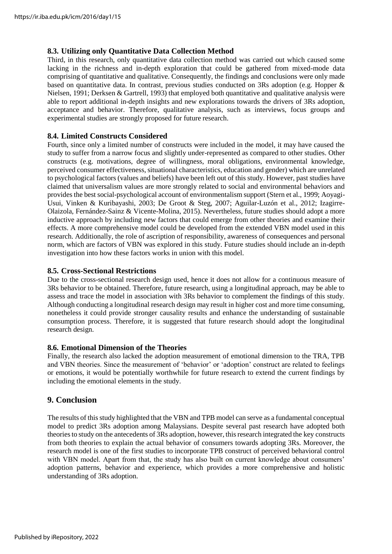## **8.3. Utilizing only Quantitative Data Collection Method**

Third, in this research, only quantitative data collection method was carried out which caused some lacking in the richness and in-depth exploration that could be gathered from mixed-mode data comprising of quantitative and qualitative. Consequently, the findings and conclusions were only made based on quantitative data. In contrast, previous studies conducted on 3Rs adoption (e.g. Hopper & Nielsen, 1991; Derksen & Gartrell, 1993) that employed both quantitative and qualitative analysis were able to report additional in-depth insights and new explorations towards the drivers of 3Rs adoption, acceptance and behavior. Therefore, qualitative analysis, such as interviews, focus groups and experimental studies are strongly proposed for future research.

## **8.4. Limited Constructs Considered**

Fourth, since only a limited number of constructs were included in the model, it may have caused the study to suffer from a narrow focus and slightly under-represented as compared to other studies. Other constructs (e.g. motivations, degree of willingness, moral obligations, environmental knowledge, perceived consumer effectiveness, situational characteristics, education and gender) which are unrelated to psychological factors (values and beliefs) have been left out of this study. However, past studies have claimed that universalism values are more strongly related to social and environmental behaviors and provides the best social-psychological account of environmentalism support (Stern et al., 1999; Aoyagi-Usui, Vinken & Kuribayashi, 2003; De Groot & Steg, 2007; Aguilar-Luzón et al., 2012; Izagirre-Olaizola, Fernández-Sainz & Vicente-Molina, 2015). Nevertheless, future studies should adopt a more inductive approach by including new factors that could emerge from other theories and examine their effects. A more comprehensive model could be developed from the extended VBN model used in this research. Additionally, the role of ascription of responsibility, awareness of consequences and personal norm, which are factors of VBN was explored in this study. Future studies should include an in-depth investigation into how these factors works in union with this model.

## **8.5. Cross-Sectional Restrictions**

Due to the cross-sectional research design used, hence it does not allow for a continuous measure of 3Rs behavior to be obtained. Therefore, future research, using a longitudinal approach, may be able to assess and trace the model in association with 3Rs behavior to complement the findings of this study. Although conducting a longitudinal research design may result in higher cost and more time consuming, nonetheless it could provide stronger causality results and enhance the understanding of sustainable consumption process. Therefore, it is suggested that future research should adopt the longitudinal research design.

## **8.6. Emotional Dimension of the Theories**

Finally, the research also lacked the adoption measurement of emotional dimension to the TRA, TPB and VBN theories. Since the measurement of 'behavior' or 'adoption' construct are related to feelings or emotions, it would be potentially worthwhile for future research to extend the current findings by including the emotional elements in the study.

## **9. Conclusion**

The results of this study highlighted that the VBN and TPB model can serve as a fundamental conceptual model to predict 3Rs adoption among Malaysians. Despite several past research have adopted both theories to study on the antecedents of 3Rs adoption, however, this research integrated the key constructs from both theories to explain the actual behavior of consumers towards adopting 3Rs. Moreover, the research model is one of the first studies to incorporate TPB construct of perceived behavioral control with VBN model. Apart from that, the study has also built on current knowledge about consumers' adoption patterns, behavior and experience, which provides a more comprehensive and holistic understanding of 3Rs adoption.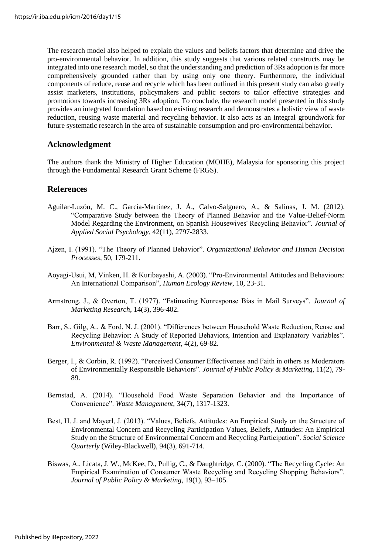The research model also helped to explain the values and beliefs factors that determine and drive the pro-environmental behavior. In addition, this study suggests that various related constructs may be integrated into one research model, so that the understanding and prediction of 3Rs adoption is far more comprehensively grounded rather than by using only one theory. Furthermore, the individual components of reduce, reuse and recycle which has been outlined in this present study can also greatly assist marketers, institutions, policymakers and public sectors to tailor effective strategies and promotions towards increasing 3Rs adoption. To conclude, the research model presented in this study provides an integrated foundation based on existing research and demonstrates a holistic view of waste reduction, reusing waste material and recycling behavior. It also acts as an integral groundwork for future systematic research in the area of sustainable consumption and pro-environmental behavior.

## **Acknowledgment**

The authors thank the Ministry of Higher Education (MOHE), Malaysia for sponsoring this project through the Fundamental Research Grant Scheme (FRGS).

## **References**

- Aguilar-Luzón, M. C., García-Martínez, J. Á., Calvo-Salguero, A., & Salinas, J. M. (2012). "Comparative Study between the Theory of Planned Behavior and the Value-Belief-Norm Model Regarding the Environment, on Spanish Housewives' Recycling Behavior". *Journal of Applied Social Psychology*, 42(11), 2797-2833.
- Ajzen, I. (1991). "The Theory of Planned Behavior". *Organizational Behavior and Human Decision Processes*, 50, 179-211.
- Aoyagi-Usui, M, Vinken, H. & Kuribayashi, A. (2003). "Pro-Environmental Attitudes and Behaviours: An International Comparison", *Human Ecology Review*, 10, 23-31.
- Armstrong, J., & Overton, T. (1977). "Estimating Nonresponse Bias in Mail Surveys". *Journal of Marketing Research*, 14(3), 396-402.
- Barr, S., Gilg, A., & Ford, N. J. (2001). "Differences between Household Waste Reduction, Reuse and Recycling Behavior: A Study of Reported Behaviors, Intention and Explanatory Variables". *Environmental & Waste Management*, 4(2), 69-82.
- Berger, I., & Corbin, R. (1992). "Perceived Consumer Effectiveness and Faith in others as Moderators of Environmentally Responsible Behaviors". *Journal of Public Policy & Marketing*, 11(2), 79- 89.
- Bernstad, A. (2014). "Household Food Waste Separation Behavior and the Importance of Convenience". *Waste Management*, 34(7), 1317-1323.
- Best, H. J. and Mayerl, J. (2013). "Values, Beliefs, Attitudes: An Empirical Study on the Structure of Environmental Concern and Recycling Participation Values, Beliefs, Attitudes: An Empirical Study on the Structure of Environmental Concern and Recycling Participation". *Social Science Quarterly* (Wiley-Blackwell), 94(3), 691-714.
- Biswas, A., Licata, J. W., McKee, D., Pullig, C., & Daughtridge, C. (2000). "The Recycling Cycle: An Empirical Examination of Consumer Waste Recycling and Recycling Shopping Behaviors". *Journal of Public Policy & Marketing*, 19(1), 93–105.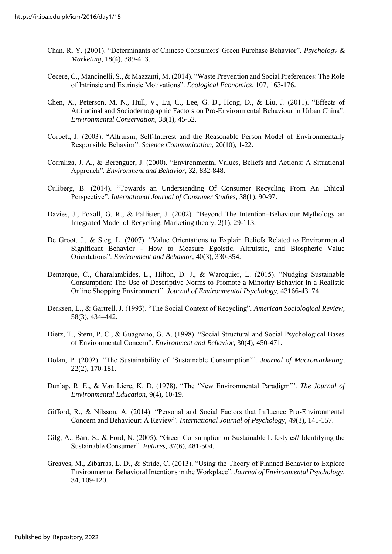- Chan, R. Y. (2001). "Determinants of Chinese Consumers' Green Purchase Behavior". *Psychology & Marketing*, 18(4), 389-413.
- Cecere, G., Mancinelli, S., & Mazzanti, M. (2014). "Waste Prevention and Social Preferences: The Role of Intrinsic and Extrinsic Motivations". *Ecological Economics*, 107, 163-176.
- Chen, X., Peterson, M. N., Hull, V., Lu, C., Lee, G. D., Hong, D., & Liu, J. (2011). "Effects of Attitudinal and Sociodemographic Factors on Pro-Environmental Behaviour in Urban China". *Environmental Conservation*, 38(1), 45-52.
- Corbett, J. (2003). "Altruism, Self-Interest and the Reasonable Person Model of Environmentally Responsible Behavior". *Science Communication*, 20(10), 1-22.
- Corraliza, J. A., & Berenguer, J. (2000). "Environmental Values, Beliefs and Actions: A Situational Approach". *Environment and Behavior*, 32, 832-848.
- Culiberg, B. (2014). "Towards an Understanding Of Consumer Recycling From An Ethical Perspective". *International Journal of Consumer Studies*, 38(1), 90-97.
- Davies, J., Foxall, G. R., & Pallister, J. (2002). "Beyond The Intention–Behaviour Mythology an Integrated Model of Recycling. Marketing theory, 2(1), 29-113.
- De Groot, J., & Steg, L. (2007). "Value Orientations to Explain Beliefs Related to Environmental Significant Behavior - How to Measure Egoistic, Altruistic, and Biospheric Value Orientations". *Environment and Behavior*, 40(3), 330-354.
- Demarque, C., Charalambides, L., Hilton, D. J., & Waroquier, L. (2015). "Nudging Sustainable Consumption: The Use of Descriptive Norms to Promote a Minority Behavior in a Realistic Online Shopping Environment". *Journal of Environmental Psychology*, 43166-43174.
- Derksen, L., & Gartrell, J. (1993). "The Social Context of Recycling". *American Sociological Review*, 58(3), 434–442.
- Dietz, T., Stern, P. C., & Guagnano, G. A. (1998). "Social Structural and Social Psychological Bases of Environmental Concern". *Environment and Behavior*, 30(4), 450-471.
- Dolan, P. (2002). "The Sustainability of 'Sustainable Consumption'". *Journal of Macromarketing*, 22(2), 170-181.
- Dunlap, R. E., & Van Liere, K. D. (1978). "The 'New Environmental Paradigm'". *The Journal of Environmental Education*, 9(4), 10-19.
- Gifford, R., & Nilsson, A. (2014). "Personal and Social Factors that Influence Pro-Environmental Concern and Behaviour: A Review". *International Journal of Psychology*, 49(3), 141-157.
- Gilg, A., Barr, S., & Ford, N. (2005). "Green Consumption or Sustainable Lifestyles? Identifying the Sustainable Consumer". *Futures*, 37(6), 481-504.
- Greaves, M., Zibarras, L. D., & Stride, C. (2013). "Using the Theory of Planned Behavior to Explore Environmental Behavioral Intentions in the Workplace". *Journal of Environmental Psychology*, 34, 109-120.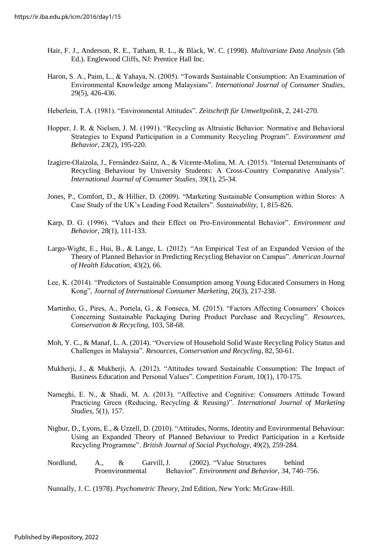- Hair, F. J., Anderson, R. E., Tatham, R. L., & Black, W. C. (1998). *Multivariate Data Analysis* (5th Ed.). Englewood Cliffs, NJ: Prentice Hall Inc.
- Haron, S. A., Paim, L., & Yahaya, N. (2005). "Towards Sustainable Consumption: An Examination of Environmental Knowledge among Malaysians". *International Journal of Consumer Studies*, 29(5), 426-436.
- Heberlein, T.A. (1981). "Environmental Attitudes". *Zeitschrift für Umweltpolitik*, 2, 241-270.
- Hopper, J. R. & Nielsen, J. M. (1991). "Recycling as Altruistic Behavior: Normative and Behavioral Strategies to Expand Participation in a Community Recycling Program". *Environment and Behavior*, 23(2), 195-220.
- Izagirre-Olaizola, J., Fernández-Sainz, A., & Vicente-Molina, M. A. (2015). "Internal Determinants of Recycling Behaviour by University Students: A Cross-Country Comparative Analysis". *International Journal of Consumer Studies*, 39(1), 25-34.
- Jones, P., Comfort, D., & Hillier, D. (2009). "Marketing Sustainable Consumption within Stores: A Case Study of the UK's Leading Food Retailers". *Sustainability,* 1, 815-826.
- Karp, D. G. (1996). "Values and their Effect on Pro-Environmental Behavior". *Environment and Behavior*, 28(1), 111-133.
- Largo-Wight, E., Hui, B., & Lange, L. (2012). "An Empirical Test of an Expanded Version of the Theory of Planned Behavior in Predicting Recycling Behavior on Campus". *American Journal of Health Education*, 43(2), 66.
- Lee, K. (2014). "Predictors of Sustainable Consumption among Young Educated Consumers in Hong Kong", *Journal of International Consumer Marketing*, 26(3), 217-238.
- Martinho, G., Pires, A., Portela, G., & Fonseca, M. (2015). "Factors Affecting Consumers' Choices Concerning Sustainable Packaging During Product Purchase and Recycling". *Resources, Conservation & Recycling*, 103, 58-68.
- Moh, Y. C., & Manaf, L. A. (2014). "Overview of Household Solid Waste Recycling Policy Status and Challenges in Malaysia". *Resources, Conservation and Recycling*, 82, 50-61.
- Mukherji, J., & Mukherji, A. (2012). "Attitudes toward Sustainable Consumption: The Impact of Business Education and Personal Values". *Competition Forum*, 10(1), 170-175.
- Nameghi, E. N., & Shadi, M. A. (2013). "Affective and Cognitive: Consumers Attitude Toward Practicing Green (Reducing, Recycling & Reusing)". *International Journal of Marketing Studies*, 5(1), 157.
- Nigbur, D., Lyons, E., & Uzzell, D. (2010). "Attitudes, Norms, Identity and Environmental Behaviour: Using an Expanded Theory of Planned Behaviour to Predict Participation in a Kerbside Recycling Programme". *British Journal of Social Psychology*, 49(2), 259-284.
- Nordlund, A., & Garvill,J. (2002). "Value Structures behind Proenvironmental Behavior". *Environment and Behavior*, 34, 740–756.

Nunnally, J. C. (1978). *Psychometric Theory*, 2nd Edition, New York: McGraw-Hill.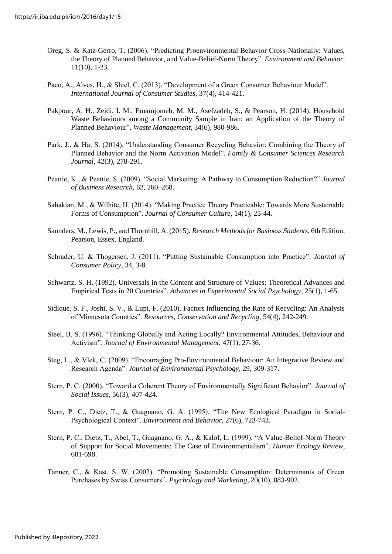- Oreg, S. & Katz-Gerro, T. (2006). "Predicting Proenvironmental Behavior Cross-Nationally: Values, the Theory of Planned Behavior, and Value-Belief-Norm Theory". *Environment and Behavior*, 11(10), 1-23.
- Paco, A., Alves, H., & Shiel, C. (2013). "Development of a Green Consumer Behaviour Model". *International Journal of Consumer Studies*, 37(4), 414-421.
- Pakpour, A. H., Zeidi, I. M., Emamjomeh, M. M., Asefzadeh, S., & Pearson, H. (2014). Household Waste Behaviours among a Community Sample in Iran: an Application of the Theory of Planned Behaviour". *Waste Management*, 34(6), 980-986.
- Park, J., & Ha, S. (2014). "Understanding Consumer Recycling Behavior: Combining the Theory of Planned Behavior and the Norm Activation Model". *Family & Consumer Sciences Research Journal*, 42(3), 278-291.
- Peattie, K., & Peattie, S. (2009). "Social Marketing: A Pathway to Consumption Reduction?" *Journal of Business Research*, 62, 260–268.
- Sahakian, M., & Wilhite, H. (2014). "Making Practice Theory Practicable: Towards More Sustainable Forms of Consumption". *Journal of Consumer Culture*, 14(1), 25-44.
- Saunders, M., Lewis, P., and Thornhill, A. (2015). *Research Methodsfor Business Students*, 6th Edition, Pearson, Essex, England.
- Schrader, U. & Thogersen, J. (2011). "Putting Sustainable Consumption into Practice". *Journal of Consumer Policy*, 34, 3-8.
- Schwartz, S. H. (1992). Universals in the Content and Structure of Values: Theoretical Advances and Empirical Tests in 20 Countries". *Advances in Experimental Social Psychology*, 25(1), 1-65.
- Sidique, S. F., Joshi, S. V., & Lupi, F. (2010). Factors Influencing the Rate of Recycling: An Analysis of Minnesota Counties". *Resources, Conservation and Recycling*, 54(4), 242-249.
- Steel, B. S. (1996). "Thinking Globally and Acting Locally? Environmental Attitudes, Behaviour and Activism". *Journal of Environmental Management*, 47(1), 27-36.
- Steg, L., & Vlek, C. (2009). "Encouraging Pro-Environmental Behaviour: An Integrative Review and Research Agenda". *Journal of Environmental Psychology*, 29, 309-317.
- Stern, P. C. (2000). "Toward a Coherent Theory of Environmentally Significant Behavior". *Journal of Social Issues*, 56(3), 407-424.
- Stern, P. C., Dietz, T., & Guagnano, G. A. (1995). "The New Ecological Paradigm in Social-Psychological Context". *Environment and Behavior*, 27(6), 723-743.
- Stern, P. C., Dietz, T., Abel, T., Guagnano, G. A., & Kalof, L. (1999). "A Value-Belief-Norm Theory of Support for Social Movements: The Case of Environmentalism". *Human Ecology Review*, 681-698.
- Tanner, C., & Kast, S. W. (2003). "Promoting Sustainable Consumption: Determinants of Green Purchases by Swiss Consumers". *Psychology and Marketing*, 20(10), 883-902.